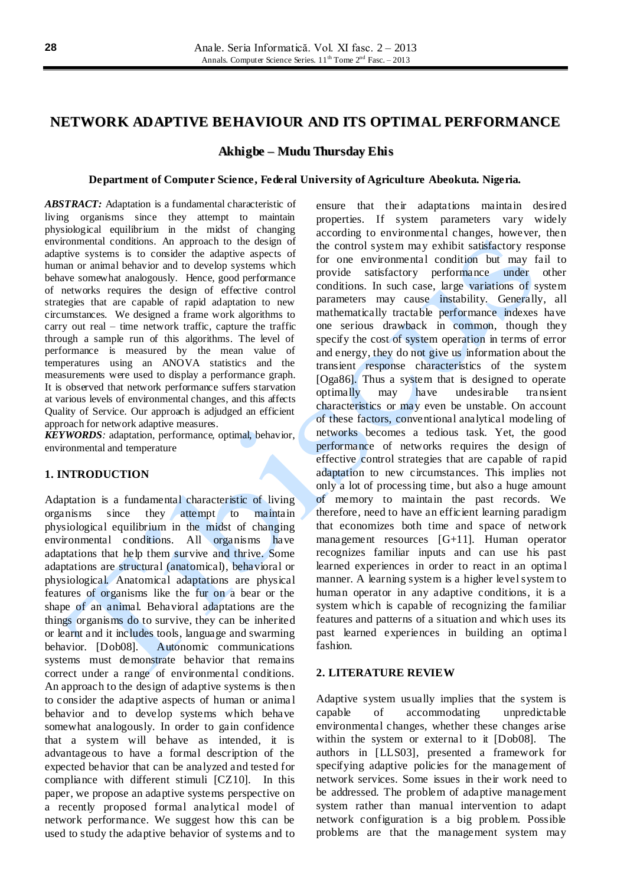## **NETWORK ADAPTIVE BEHAVIOUR AND ITS OPTIMAL PERFORMANCE**

**Akhigbe – Mudu Thursday Ehis**

#### **Department of Computer Science, Federal University of Agriculture Abeokuta. Nigeria.**

*ABSTRACT:* Adaptation is a fundamental characteristic of living organisms since they attempt to maintain physiological equilibrium in the midst of changing environmental conditions. An approach to the design of adaptive systems is to consider the adaptive aspects of human or animal behavior and to develop systems which behave somewhat analogously. Hence, good performance of networks requires the design of effective control strategies that are capable of rapid adaptation to new circumstances. We designed a frame work algorithms to carry out real – time network traffic, capture the traffic through a sample run of this algorithms. The level of performance is measured by the mean value of temperatures using an ANOVA statistics and the measurements were used to display a performance graph. It is observed that network performance suffers starvation at various levels of environmental changes, and this affects Quality of Service. Our approach is adjudged an efficient approach for network adaptive measures.

*KEYWORDS:* adaptation, performance, optimal, behavior, environmental and temperature

## **1. INTRODUCTION**

Adaptation is a fundamental characteristic of living organisms since they attempt to maintain physiological equilibrium in the midst of changing environmental conditions. All organisms have adaptations that help them survive and thrive. Some adaptations are structural (anatomical), behavioral or physiological. Anatomical adaptations are physical features of organisms like the fur on a bear or the shape of an animal. Behavioral adaptations are the things organisms do to survive, they can be inherited or learnt and it includes tools, language and swarming behavior. [Dob08]. Autonomic communications systems must demonstrate behavior that remains correct under a range of environmental conditions. An approach to the design of adaptive systems is then to consider the adaptive aspects of human or anima l behavior and to develop systems which behave somewhat analogously. In order to gain confidence that a system will behave as intended, it is advantageous to have a formal description of the expected behavior that can be analyzed and tested for compliance with different stimuli [CZ10]. In this paper, we propose an adaptive systems perspective on a recently proposed formal analytical model of network performance. We suggest how this can be used to study the adaptive behavior of systems and to

ensure that their adaptations maintain desired properties. If system parameters vary widely according to environmental changes, however, then the control system may exhibit satisfactory response for one environmental condition but may fail to provide satisfactory performance under other conditions. In such case, large variations of system parameters may cause instability. Generally, all mathematically tractable performance indexes have one serious drawback in common, though they specify the cost of system operation in terms of error and energy, they do not give us information about the transient response characteristics of the system [Oga86]. Thus a system that is designed to operate optimally may have undesirable transient characteristics or may even be unstable. On account of these factors, conventional analytical modeling of networks becomes a tedious task. Yet, the good performance of networks requires the design of effective control strategies that are capable of rapid adaptation to new circumstances. This implies not only a lot of processing time, but also a huge amount of memory to maintain the past records. We therefore, need to have an efficient learning paradigm that economizes both time and space of network management resources [G+11]. Human operator recognizes familiar inputs and can use his past learned experiences in order to react in an optima l manner. A learning system is a higher level system to human operator in any adaptive conditions, it is a system which is capable of recognizing the familiar features and patterns of a situation and which uses its past learned experiences in building an optima l fashion.

#### **2. LITERATURE REVIEW**

Adaptive system usually implies that the system is capable of accommodating unpredictable environmental changes, whether these changes arise within the system or external to it [Dob08]. The authors in [LLS03], presented a framework for specifying adaptive policies for the management of network services. Some issues in their work need to be addressed. The problem of adaptive management system rather than manual intervention to adapt network configuration is a big problem. Possible problems are that the management system may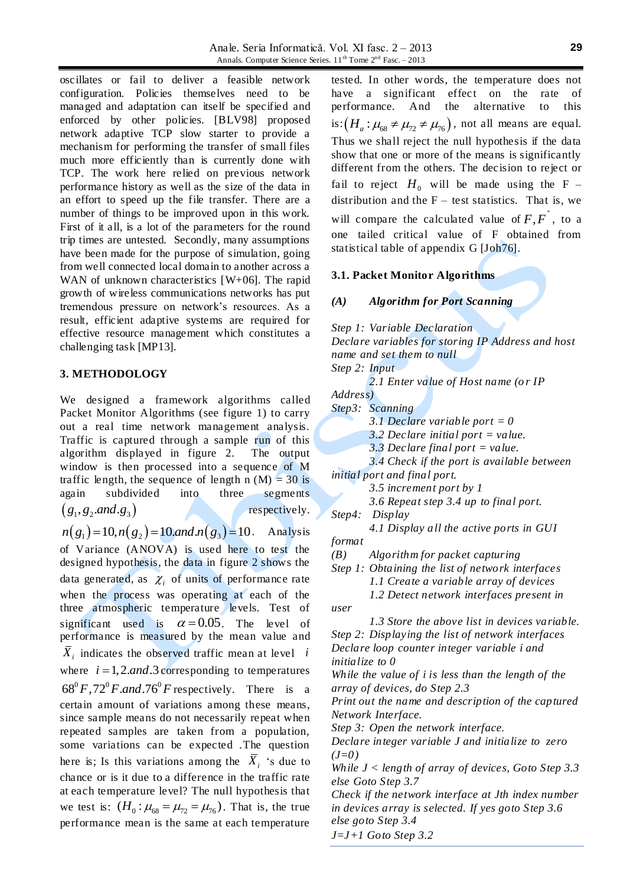Anale. Seria Informatică. Vol. XI fasc. 2 – 2013 Annals. Computer Science Series.  $11<sup>th</sup>$  Tome  $2<sup>nd</sup>$  Fasc. – 2013

oscillates or fail to deliver a feasible network configuration. Policies themselves need to be managed and adaptation can itself be specified and enforced by other policies. [BLV98] proposed network adaptive TCP slow starter to provide a mechanism for performing the transfer of small files much more efficiently than is currently done with TCP. The work here relied on previous network performance history as well as the size of the data in an effort to speed up the file transfer. There are a number of things to be improved upon in this work. First of it all, is a lot of the parameters for the round trip times are untested. Secondly, many assumptions have been made for the purpose of simulation, going from well connected local domain to another across a WAN of unknown characteristics [W+06]. The rapid growth of wireless communications networks has put tremendous pressure on network"s resources. As a result, efficient adaptive systems are required for effective resource management which constitutes a challenging task [MP13].

#### **3. METHODOLOGY**

We designed a framework algorithms called Packet Monitor Algorithms (see figure 1) to carry out a real time network management analysis. Traffic is captured through a sample run of this algorithm displayed in figure 2. The output window is then processed into a sequence of M traffic length, the sequence of length n  $(M) = 30$  is again subdivided into three segments  $(g_1, g_2$  *and .*  $g_3)$ respectively.  $g_1, g_2$ .*and*.g<sub>3</sub>)<br>  $n(g_1) = 10, n(g_2) = 10$ .*and*. $n(g_3) = 10$ . Analysis

of Variance (ANOVA) is used here to test the designed hypothesis, the data in figure 2 shows the data generated, as  $\chi$ <sub>i</sub> of units of performance rate when the process was operating at each of the three atmospheric temperature levels. Test of significant used is  $\alpha = 0.05$ . The level of performance is measured by the mean value and  $\overline{X}_i$  indicates the observed traffic mean at level *i* where  $i = 1, 2, and 3$  corresponding to temperatures  $68^{\circ}F$ ,  $72^{\circ}F$ *and*.  $76^{\circ}F$  respectively. There is a certain amount of variations among these means, since sample means do not necessarily repeat when repeated samples are taken from a population, some variations can be expected .The question here is; Is this variations among the  $\overline{X}_i$  's due to chance or is it due to a difference in the traffic rate at each temperature level? The null hypothesis that we test is:  $(H_0: \mu_{68} = \mu_{72} = \mu_{76})$ . That is, the true performance mean is the same at each temperature

tested. In other words, the temperature does not have a significant effect on the rate of performance. And the alternative to this is:  $(H_a: \mu_{68} \neq \mu_{72} \neq \mu_{76})$ , not all means are equal. Thus we shall reject the null hypothesis if the data show that one or more of the means is significantly different from the others. The decision to reject or fail to reject  $H_0$  will be made using the F – distribution and the  $F -$  test statistics. That is, we will compare the calculated value of  $F, F^*$ , to a one tailed critical value of F obtained from statistical table of appendix G [Joh76].

## **3.1. Packet Monitor Algorithms**

## *(A) Algorithm for Port Scanning*

*Step 1: Variable Declaration Declare variables for storing IP Address and host name and set them to null Step 2: Input 2.1 Enter value of Host name (o r IP Address) Step3: Scanning 3.1 Declare variable port = 0 3.2 Declare initial port = value. 3.3 Declare final port = value. 3.4 Check if the port is available between initial port and final port. 3.5 increment port by 1 3.6 Repeat step 3.4 up to final port. Step4: Display 4.1 Display all the active ports in GUI format (B) Algorithm for packet capturing Step 1: Obtaining the list of network interfaces 1.1 Create a variable array of devices 1.2 Detect network interfaces present in user 1.3 Store the above list in devices variable. Step 2: Displaying the list of network interfaces Declare loop counter integer variable i and initialize to 0 While the value of i is less than the length of the array of devices, do Step 2.3 Print out the name and description of the captured Network Interface. Step 3: Open the network interface. Declare integer variable J and initialize to zero (J=0) While J < length of array of devices, Goto Step 3.3 else Goto Step 3.7 Check if the network interface at Jth index number in devices array is selected. If yes goto Step 3.6 else goto Step 3.4 J=J+1 Goto Step 3.2*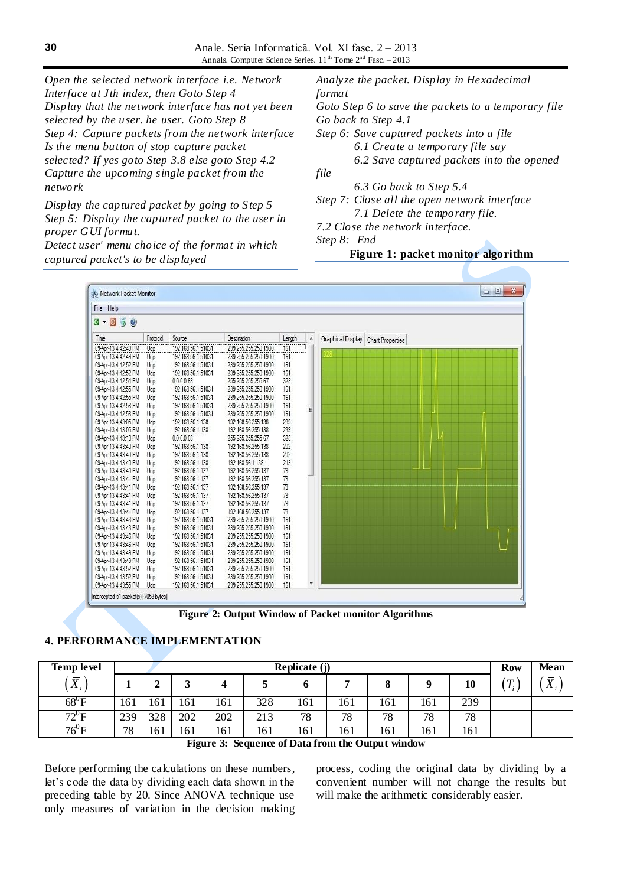*Open the selected network interface i.e. Network Interface at Jth index, then Goto Step 4 Display that the network interface has not yet been selected by the user. he user. Goto Step 8 Step 4: Capture packets from the network interface Is the menu button of stop capture packet selected? If yes goto Step 3.8 else goto Step 4.2 Capture the upcoming single packet from the network*

*Display the captured packet by going to Step 5 Step 5: Display the captured packet to the user in proper GUI format.* 

*Detect user' menu choice of the format in which captured packet's to be displayed*

*Analyze the packet. Display in Hexadecimal format Goto Step 6 to save the packets to a temporary file Go back to Step 4.1 Step 6: Save captured packets into a file 6.1 Create a temporary file say 6.2 Save captured packets into the opened file 6.3 Go back to Step 5.4*

*Step 7: Close all the open network interface 7.1 Delete the temporary file.* 

*7.2 Close the network interface.* 

*Step 8: End*

## **Figure 1: packet monitor algorithm**

| Help<br>File                             |          |                    |                      |        |                  |                                      |  |  |
|------------------------------------------|----------|--------------------|----------------------|--------|------------------|--------------------------------------|--|--|
| $\circ$<br>90<br>綴<br>$\pmb{\mathrm{v}}$ |          |                    |                      |        |                  |                                      |  |  |
| Time                                     | Protocol | Source             | Destination          | Length | $\blacktriangle$ | Graphical Display   Chart Properties |  |  |
| 09-Apr-13 4:42:49 PM                     | Udp      | 192.168.56.1:51031 | 239 255 255 250:1900 | 161    |                  |                                      |  |  |
| 09-Apr-13 4:42:49 PM                     | Udp      | 192.168.56.1:51031 | 239 255 255 250:1900 | 161    |                  |                                      |  |  |
| 09-Apr-13 4:42:52 PM                     | Udp      | 192.168.56.1:51031 | 239 255 255 250 1900 | 161    |                  |                                      |  |  |
| 09-Apr-13 4:42:52 PM                     | Udp      | 192.168.56.1:51031 | 239.255.255.250:1900 | 161    |                  |                                      |  |  |
| 09-Apr-13 4:42:54 PM                     | Udp      | 0.0.0.068          | 255.255.255.255:67   | 328    |                  |                                      |  |  |
| 09-Apr-13 4:42:55 PM                     | Udp      | 192.168.56.1:51031 | 239.255.255.250:1900 | 161    |                  |                                      |  |  |
| 09-Apr-13 4:42:55 PM                     | Udp      | 192.168.56.1:51031 | 239.255.255.250:1900 | 161    |                  |                                      |  |  |
| 09-Apr-13 4:42:58 PM                     | Udp      | 192.168.56.1:51031 | 239.255.255.250:1900 | 161    |                  |                                      |  |  |
| 09-Apr-13 4:42:58 PM                     | Udp      | 192.168.56.1:51031 | 239 255 255 250:1900 | 161    | E                |                                      |  |  |
| 09-Apr-13 4:43:05 PM                     | Udp      | 192.168.56.1:138   | 192.168.56.255:138   | 239    |                  |                                      |  |  |
| 09-Apr-13 4:43:05 PM                     | Udp      | 192.168.56.1:138   | 192.168.56.255:138   | 239    |                  |                                      |  |  |
| 09-Apr-13 4:43:10 PM                     | Udp      | 0.0.0.068          | 255 255 255 255 67   | 328    |                  |                                      |  |  |
| 09-Apr-13 4:43:40 PM                     | Udp      | 192.168.56.1:138   | 192.168.56.255:138   | 202    |                  |                                      |  |  |
| 09-Apr-13 4:43:40 PM                     | Udp      | 192.168.56.1:138   | 192.168.56.255:138   | 202    |                  |                                      |  |  |
| 09-Apr-13 4:43:40 PM                     | Udp      | 192.168.56.1:138   | 192.168.56.1:138     | 213    |                  |                                      |  |  |
| 09-Apr-13 4:43:40 PM                     | Udp      | 192.168.56.1:137   | 192.168.56.255:137   | 78     |                  |                                      |  |  |
| 09-Apr-13 4:43:41 PM                     | Udp      | 192.168.56.1:137   | 192.168.56.255:137   | 78     |                  |                                      |  |  |
| 09-Apr-13 4:43:41 PM                     | Udp      | 192.168.56.1:137   | 192.168.56.255:137   | 78     |                  |                                      |  |  |
| 09-Apr-13 4:43:41 PM                     | Udp      | 192.168.56.1:137   | 192.168.56.255:137   | 78     |                  |                                      |  |  |
| 09-Apr-13 4:43:41 PM                     | Udp      | 192.168.56.1:137   | 192.168.56.255:137   | 78     |                  |                                      |  |  |
| 09-Apr-13 4:43:41 PM                     | Udp      | 192.168.56.1:137   | 192.168.56.255:137   | 78     |                  |                                      |  |  |
| 09-Apr-13 4:43:43 PM                     | Udp      | 192.168.56.1:51031 | 239.255.255.250:1900 | 161    |                  |                                      |  |  |
| 09-Apr-13 4:43:43 PM                     | Udp      | 192.168.56.1:51031 | 239.255.255.250:1900 | 161    |                  |                                      |  |  |
| 09-Apr-13 4:43:46 PM                     | Udp      | 192.168.56.1:51031 | 239 255 255 250:1900 | 161    |                  |                                      |  |  |
| 09-Apr-13 4:43:46 PM                     | Udp      | 192.168.56.1:51031 | 239.255.255.250:1900 | 161    |                  |                                      |  |  |
| 09-Apr-13 4:43:49 PM                     | Udp      | 192.168.56.1:51031 | 239.255.255.250:1900 | 161    |                  |                                      |  |  |
| 09-Apr-13 4:43:49 PM                     | Udp      | 192.168.56.1:51031 | 239.255.255.250:1900 | 161    |                  |                                      |  |  |
| 09-Apr-13 4:43:52 PM                     | Udp      | 192.168.56.1:51031 | 239.255.255.250:1900 | 161    |                  |                                      |  |  |
| 09-Apr-13 4:43:52 PM                     | Udp      | 192.168.56.1:51031 | 239.255.255.250:1900 | 161    |                  |                                      |  |  |
| 09-Apr-13 4:43:55 PM                     | Udp      | 192.168.56.1:51031 | 239.255.255.250:1900 | 161    |                  |                                      |  |  |

**Figure 2: Output Window of Packet monitor Algorithms**

# **4. PERFORMANCE IMPLEMENTATION**

| <b>Temp level</b>                                        | Replicate (j) |     |     |     |     |     |     |     |     | <b>Row</b> | Mean                         |                            |
|----------------------------------------------------------|---------------|-----|-----|-----|-----|-----|-----|-----|-----|------------|------------------------------|----------------------------|
| $\bar{\mathbf{v}}$<br>$\Lambda_i$                        |               | 车   |     |     |     |     |     |     |     | 10         | $\tau$<br>$\boldsymbol{l}$ : | $\mathbf v$<br>$\Lambda$ : |
| $\overline{68}^0$ F                                      | 161           | 161 | 161 | 161 | 328 | 161 | 161 | 161 | 161 | 239        |                              |                            |
| $72^{\circ}$ F                                           | 239           | 328 | 202 | 202 | 213 | 78  | 78  | 78  | 78  | 78         |                              |                            |
| $76^{\circ}$ F                                           | 78            | 161 | 161 | 161 | 161 | 161 | 161 | 161 | 161 | 161        |                              |                            |
| <b>Figure 3: Sequence of Data from the Output window</b> |               |     |     |     |     |     |     |     |     |            |                              |                            |

**Figure 3: Sequence of Data from the Output window**

Before performing the calculations on these numbers, let"s code the data by dividing each data shown in the preceding table by 20. Since ANOVA technique use only measures of variation in the decision making process, coding the original data by dividing by a convenient number will not change the results but will make the arithmetic considerably easier.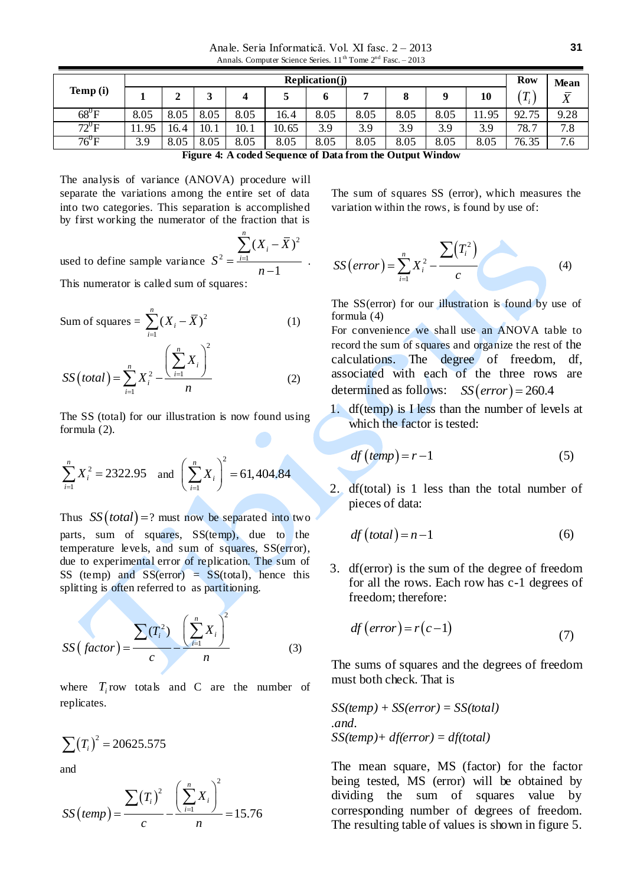Anale. Seria Informatică. Vol. XI fasc. 2 – 2013 Annals. Computer Science Series.  $11<sup>th</sup>$  Tome  $2<sup>nd</sup>$  Fasc. – 2013

|                | <b>Replication(j)</b> |        |      |      |       |      |      |      |      |       |                                  | Mean           |
|----------------|-----------------------|--------|------|------|-------|------|------|------|------|-------|----------------------------------|----------------|
| Temp (i)       |                       | ◠<br>◢ |      |      |       |      |      |      |      | 10    | $\sqrt{T}$<br>$\boldsymbol{\mu}$ | $\bar{v}$<br>Λ |
| $68^0$ F       | 8.05                  | 8.05   | 8.05 | 8.05 | 16.4  | 8.05 | 8.05 | 8.05 | 8.05 | 11.95 | 92.75                            | 9.28           |
| $72^0$ F       | 11.95                 | 16.4   | 10.1 | 10.1 | 10.65 | 3.9  | 3.9  | 3.9  | 3.9  | 3.9   | 78.<br>,                         | 7.8            |
| $76^{\circ}$ F | 3.9                   | 8.05   | 8.05 | 8.05 | 8.05  | 8.05 | 8.05 | 8.05 | 8.05 | 8.05  | 76.35                            | 7.6            |

**Figure 4: A coded Sequence of Data from the Output Window**

.

The analysis of variance (ANOVA) procedure will separate the variations among the entire set of data into two categories. This separation is accomplished by first working the numerator of the fraction that is

used to define sample variance 2  $2 - i=1$  $(X_i - \overline{X})$ 1 *n i i*  $X_i - \bar{X}$ *S n*  $=$ - $=$  $\overline{a}$  $\sum$ 

This numerator is called sum of squares:

Sum of squares = 
$$
\sum_{i=1}^{n} (X_i - \overline{X})^2
$$
 (1)

$$
SS\left( total\right) = \sum_{i=1}^{n} X_i^2 - \frac{\left(\sum_{i=1}^{n} X_i\right)^2}{n}
$$
 (2)

The SS (total) for our illustration is now found using formula (2).

$$
\sum_{i=1}^{n} X_i^2 = 2322.95 \text{ and } \left(\sum_{i=1}^{n} X_i\right)^2 = 61,404.84
$$

Thus  $SS (total) = ?$  must now be separated into two parts, sum of squares, SS(temp), due to the temperature levels, and sum of squares, SS(error), due to experimental error of replication. The sum of SS (temp) and  $SS(error) = SS(total)$ , hence this splitting is often referred to as partitioning.

$$
SS\left(factor\right) = \frac{\sum_{i=1}^{n} T_i^2 - \left(\sum_{i=1}^{n} X_i\right)^2}{n}
$$
 (3)

where  $T_i$  row totals and C are the number of replicates.

$$
\sum (T_i)^2 = 20625.575
$$

a di provincia di controlle di controlle di controlle di controlle di controlle di controlle di controlle di co<br>Controlle di controlle di controlle di controlle di controlle di controlle di controlle di controlle di contro

and

and  
\n
$$
SS\left(\text{temp}\right) = \frac{\sum (T_i)^2}{c} - \frac{\left(\sum_{i=1}^n X_i\right)^2}{n} = 15.76
$$

The sum of squares SS (error), which measures the variation within the rows, is found by use of:

$$
SS\left(error\right) = \sum_{i=1}^{n} X_i^2 - \frac{\sum (T_i^2)}{c}
$$
 (4)

The SS(error) for our illustration is found by use of formula (4)

For convenience we shall use an ANOVA table to record the sum of squares and organize the rest of the calculations. The degree of freedom, df, associated with each of the three rows are determined as follows:  $SS(error) = 260.4$ 

1. df(temp) is I less than the number of levels at which the factor is tested:

$$
df\left(\text{temp}\right) = r - 1\tag{5}
$$

2. df(total) is 1 less than the total number of pieces of data:

$$
df\left( total\right) = n - 1\tag{6}
$$

3. df(error) is the sum of the degree of freedom for all the rows. Each row has c-1 degrees of freedom; therefore:

$$
df\left( error\right) = r(c-1)
$$
\n(7)

The sums of squares and the degrees of freedom must both check. That is

$$
SS(temp) + SS(error) = SS(total)
$$
  
.and.  

$$
SS(temp) + df(error) = df(total)
$$

The mean square, MS (factor) for the factor being tested, MS (error) will be obtained by dividing the sum of squares value by corresponding number of degrees of freedom. The resulting table of values is shown in figure 5.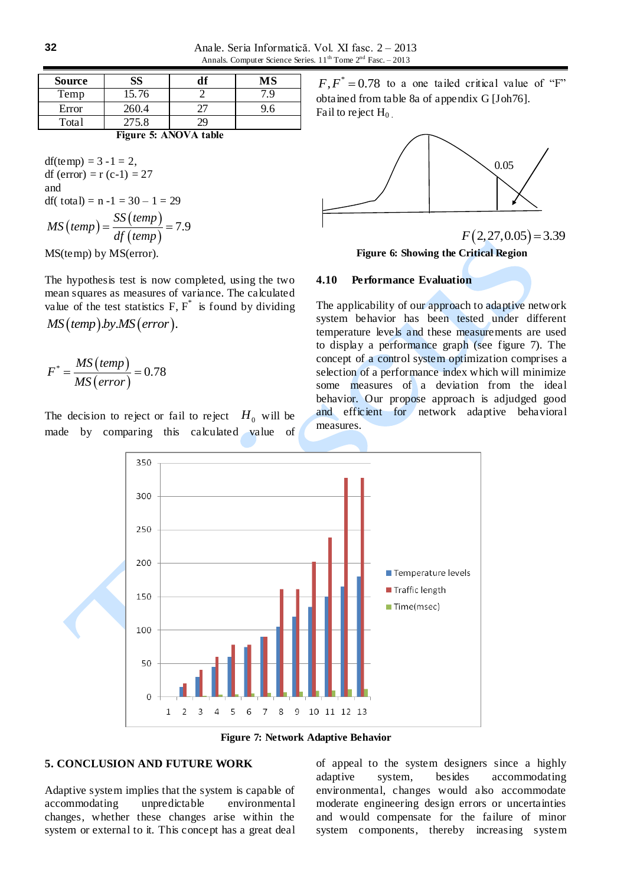Anale. Seria Informatică. Vol. XI fasc. 2 – 2013 Annals. Computer Science Series.  $11^{th}$  Tome  $2^{nd}$  Fasc. – 2013

| <b>Source</b> |       | M۶ |  |  |
|---------------|-------|----|--|--|
| Temp          | 15.76 |    |  |  |
| Error         | 260.4 |    |  |  |
| Total         | 275.8 |    |  |  |

**Figure 5: ANOVA table**

df(temp) =  $3 - 1 = 2$ , df (error) =  $r$  (c-1) = 27 and df( total) =  $n - 1 = 30 - 1 = 29$  $\text{(temp)}$  $\textit{(temp)}$  $\text{(temp)}$  $\frac{SS \left( temp \right)}{SS \left( temp \right)} = 7.9$ *MS temp df temp*  $=\frac{SS\left( temp\right) }{R\left( temp\right) }=7.9$ 

MS(temp) by MS(error).

The hypothesis test is now completed, using the two mean squares as measures of variance. The calculated value of the test statistics  $F, F^*$  is found by dividing *MS* (*temp*).by.*MS* (*error*).

$$
F^* = \frac{MS\left(\text{temp}\right)}{MS\left(\text{error}\right)} = 0.78
$$

The decision to reject or fail to reject  $H_0$  will be made by comparing this calculated value of

 $F, F^* = 0.78$  to a one tailed critical value of "F" obtained from table 8a of appendix G [Joh76]. Fail to reject  $H_0$ 



**Figure 6: Showing the Critical Region**

#### **4.10 Performance Evaluation**

The applicability of our approach to adaptive network system behavior has been tested under different temperature levels and these measurements are used to display a performance graph (see figure 7). The concept of a control system optimization comprises a selection of a performance index which will minimize some measures of a deviation from the ideal behavior. Our propose approach is adjudged good and efficient for network adaptive behavioral measures.



**Figure 7: Network Adaptive Behavior**

#### **5. CONCLUSION AND FUTURE WORK**

Adaptive system implies that the system is capable of accommodating unpredictable environmental changes, whether these changes arise within the system or external to it. This concept has a great deal of appeal to the system designers since a highly adaptive system, besides accommodating environmental, changes would also accommodate moderate engineering design errors or uncertainties and would compensate for the failure of minor system components, thereby increasing system